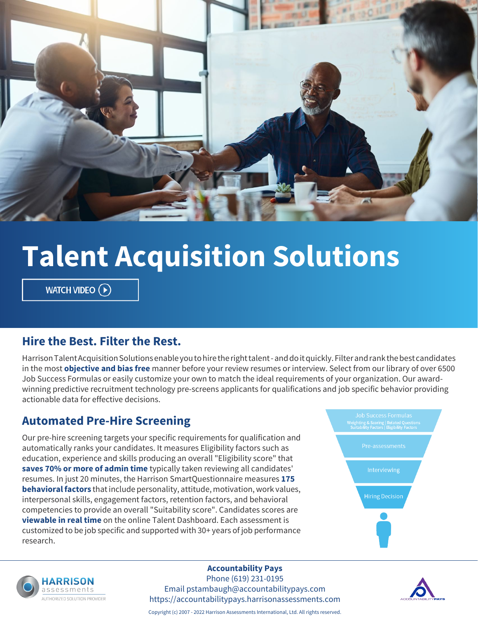

# **Talent Acquisition Solutions**

WATCH VIDEO (D)

#### **Hire the Best. Filter the Rest.**

Harrison Talent Acquisition Solutions enable you to hire the right talent - and do it quickly. Filter and rank the best candidates in the most **objective and bias free** manner before your review resumes or interview. Select from our library of over 6500 Job Success Formulas or easily customize your own to match the ideal requirements of your organization. Our awardwinning predictive recruitment technology pre-screens applicants for qualifications and job specific behavior providing actionable data for effective decisions.

#### **Automated Pre-Hire Screening**

Our pre-hire screening targets your specific requirements for qualification and automatically ranks your candidates. It measures Eligibility factors such as education, experience and skills producing an overall "Eligibility score" that **saves 70% or more of admin time** typically taken reviewing all candidates' resumes. In just 20 minutes, the Harrison SmartQuestionnaire measures **175 behavioral factors** that include personality, attitude, motivation, work values, interpersonal skills, engagement factors, retention factors, and behavioral competencies to provide an overall "Suitability score". Candidates scores are **viewable in real time** on the online Talent Dashboard. Each assessment is customized to be job specific and supported with 30+ years of job performance research.





#### **Accountability Pays**

Phone (619) 231-0195 Email pstambaugh@accountabilitypays.com https://accountabilitypays.harrisonassessments.com



Copyright (c) 2007 - 2022 Harrison Assessments International, Ltd. All rights reserved.